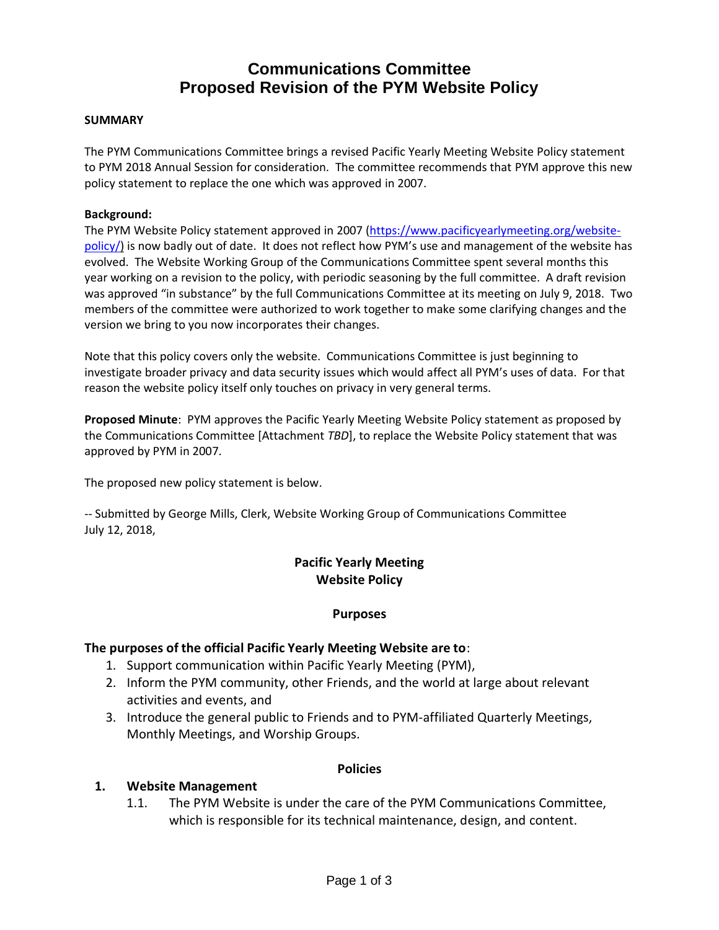# **Communications Committee Proposed Revision of the PYM Website Policy**

#### **SUMMARY**

The PYM Communications Committee brings a revised Pacific Yearly Meeting Website Policy statement to PYM 2018 Annual Session for consideration. The committee recommends that PYM approve this new policy statement to replace the one which was approved in 2007.

#### **Background:**

The PYM Website Policy statement approved in 2007 [\(https://www.pacificyearlymeeting.org/website](https://www.pacificyearlymeeting.org/website-policy/)[policy/\)](https://www.pacificyearlymeeting.org/website-policy/) is now badly out of date. It does not reflect how PYM's use and management of the website has evolved. The Website Working Group of the Communications Committee spent several months this year working on a revision to the policy, with periodic seasoning by the full committee. A draft revision was approved "in substance" by the full Communications Committee at its meeting on July 9, 2018. Two members of the committee were authorized to work together to make some clarifying changes and the version we bring to you now incorporates their changes.

Note that this policy covers only the website. Communications Committee is just beginning to investigate broader privacy and data security issues which would affect all PYM's uses of data. For that reason the website policy itself only touches on privacy in very general terms.

**Proposed Minute**: PYM approves the Pacific Yearly Meeting Website Policy statement as proposed by the Communications Committee [Attachment *TBD*], to replace the Website Policy statement that was approved by PYM in 2007.

The proposed new policy statement is below.

-- Submitted by George Mills, Clerk, Website Working Group of Communications Committee July 12, 2018,

### **Pacific Yearly Meeting Website Policy**

#### **Purposes**

#### **The purposes of the official Pacific Yearly Meeting Website are to**:

- 1. Support communication within Pacific Yearly Meeting (PYM),
- 2. Inform the PYM community, other Friends, and the world at large about relevant activities and events, and
- 3. Introduce the general public to Friends and to PYM-affiliated Quarterly Meetings, Monthly Meetings, and Worship Groups.

#### **Policies**

#### **1. Website Management**

1.1. The PYM Website is under the care of the PYM Communications Committee, which is responsible for its technical maintenance, design, and content.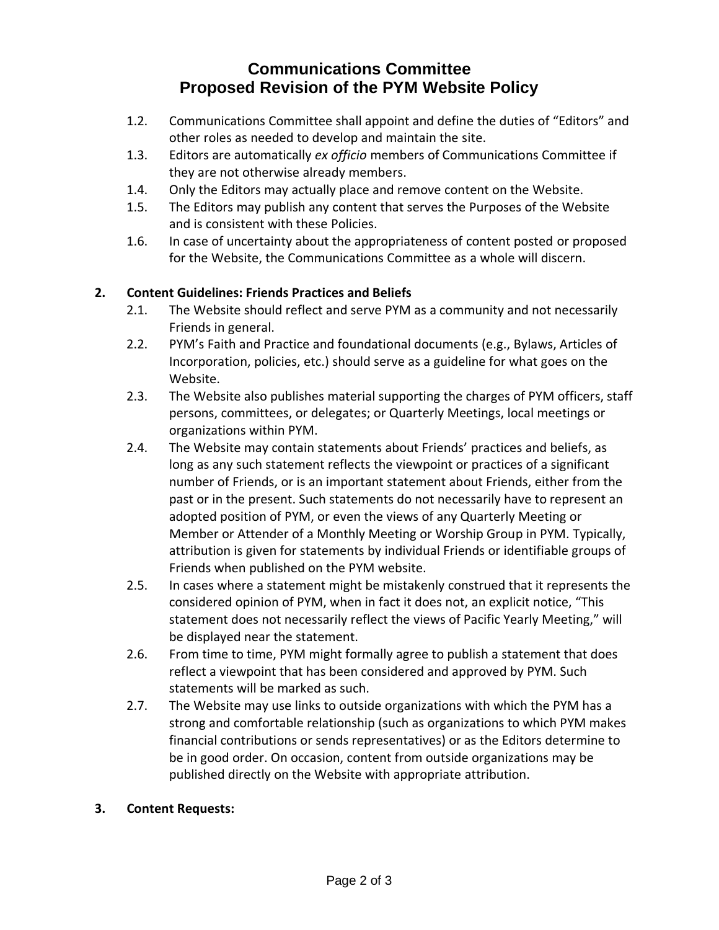# **Communications Committee Proposed Revision of the PYM Website Policy**

- 1.2. Communications Committee shall appoint and define the duties of "Editors" and other roles as needed to develop and maintain the site.
- 1.3. Editors are automatically *ex officio* members of Communications Committee if they are not otherwise already members.
- 1.4. Only the Editors may actually place and remove content on the Website.
- 1.5. The Editors may publish any content that serves the Purposes of the Website and is consistent with these Policies.
- 1.6. In case of uncertainty about the appropriateness of content posted or proposed for the Website, the Communications Committee as a whole will discern.

# **2. Content Guidelines: Friends Practices and Beliefs**

- 2.1. The Website should reflect and serve PYM as a community and not necessarily Friends in general.
- 2.2. PYM's Faith and Practice and foundational documents (e.g., Bylaws, Articles of Incorporation, policies, etc.) should serve as a guideline for what goes on the Website.
- 2.3. The Website also publishes material supporting the charges of PYM officers, staff persons, committees, or delegates; or Quarterly Meetings, local meetings or organizations within PYM.
- 2.4. The Website may contain statements about Friends' practices and beliefs, as long as any such statement reflects the viewpoint or practices of a significant number of Friends, or is an important statement about Friends, either from the past or in the present. Such statements do not necessarily have to represent an adopted position of PYM, or even the views of any Quarterly Meeting or Member or Attender of a Monthly Meeting or Worship Group in PYM. Typically, attribution is given for statements by individual Friends or identifiable groups of Friends when published on the PYM website.
- 2.5. In cases where a statement might be mistakenly construed that it represents the considered opinion of PYM, when in fact it does not, an explicit notice, "This statement does not necessarily reflect the views of Pacific Yearly Meeting," will be displayed near the statement.
- 2.6. From time to time, PYM might formally agree to publish a statement that does reflect a viewpoint that has been considered and approved by PYM. Such statements will be marked as such.
- 2.7. The Website may use links to outside organizations with which the PYM has a strong and comfortable relationship (such as organizations to which PYM makes financial contributions or sends representatives) or as the Editors determine to be in good order. On occasion, content from outside organizations may be published directly on the Website with appropriate attribution.

## **3. Content Requests:**